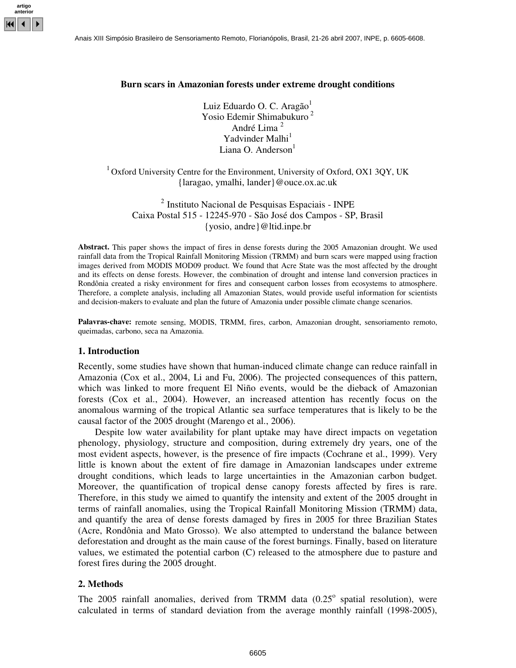## **Burn scars in Amazonian forests under extreme drought conditions**

Luiz Eduardo O. C. Aragão<sup>1</sup> Yosio Edemir Shimabukuro 2 André Lima 2 Yadvinder Malhi<sup>1</sup> Liana O. Anderson<sup>1</sup>

 $1$  Oxford University Centre for the Environment, University of Oxford, OX1 3QY, UK {laragao, ymalhi, lander}@ouce.ox.ac.uk

<sup>2</sup> Instituto Nacional de Pesquisas Espaciais - INPE Caixa Postal 515 - 12245-970 - São José dos Campos - SP, Brasil {yosio, andre}@ltid.inpe.br

**Abstract.** This paper shows the impact of fires in dense forests during the 2005 Amazonian drought. We used rainfall data from the Tropical Rainfall Monitoring Mission (TRMM) and burn scars were mapped using fraction images derived from MODIS MOD09 product. We found that Acre State was the most affected by the drought and its effects on dense forests. However, the combination of drought and intense land conversion practices in Rondônia created a risky environment for fires and consequent carbon losses from ecosystems to atmosphere. Therefore, a complete analysis, including all Amazonian States, would provide useful information for scientists and decision-makers to evaluate and plan the future of Amazonia under possible climate change scenarios.

Palavras-chave: remote sensing, MODIS, TRMM, fires, carbon, Amazonian drought, sensoriamento remoto, queimadas, carbono, seca na Amazonia.

### **1. Introduction**

Recently, some studies have shown that human-induced climate change can reduce rainfall in Amazonia (Cox et al., 2004, Li and Fu, 2006). The projected consequences of this pattern, which was linked to more frequent El Niño events, would be the dieback of Amazonian forests (Cox et al., 2004). However, an increased attention has recently focus on the anomalous warming of the tropical Atlantic sea surface temperatures that is likely to be the causal factor of the 2005 drought (Marengo et al., 2006).

Despite low water availability for plant uptake may have direct impacts on vegetation phenology, physiology, structure and composition, during extremely dry years, one of the most evident aspects, however, is the presence of fire impacts (Cochrane et al., 1999). Very little is known about the extent of fire damage in Amazonian landscapes under extreme drought conditions, which leads to large uncertainties in the Amazonian carbon budget. Moreover, the quantification of tropical dense canopy forests affected by fires is rare. Therefore, in this study we aimed to quantify the intensity and extent of the 2005 drought in terms of rainfall anomalies, using the Tropical Rainfall Monitoring Mission (TRMM) data, and quantify the area of dense forests damaged by fires in 2005 for three Brazilian States (Acre, Rondônia and Mato Grosso). We also attempted to understand the balance between deforestation and drought as the main cause of the forest burnings. Finally, based on literature values, we estimated the potential carbon (C) released to the atmosphere due to pasture and forest fires during the 2005 drought.

### **2. Methods**

The  $2005$  rainfall anomalies, derived from TRMM data  $(0.25^{\circ}$  spatial resolution), were calculated in terms of standard deviation from the average monthly rainfall (1998-2005),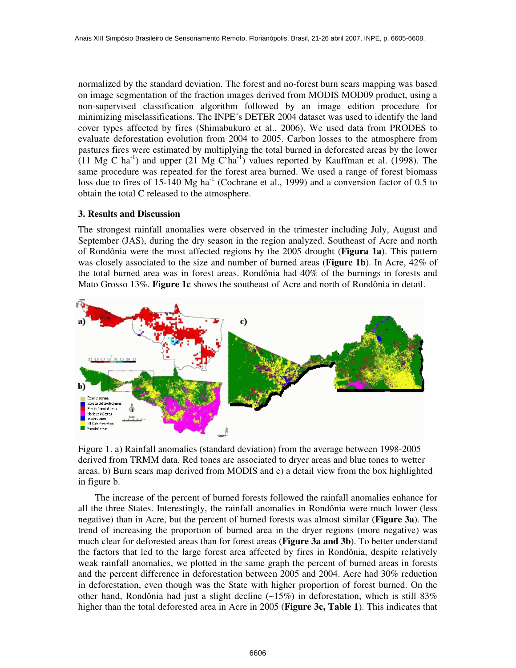normalized by the standard deviation. The forest and no-forest burn scars mapping was based on image segmentation of the fraction images derived from MODIS MOD09 product, using a non-supervised classification algorithm followed by an image edition procedure for minimizing misclassifications. The INPE´s DETER 2004 dataset was used to identify the land cover types affected by fires (Shimabukuro et al., 2006). We used data from PRODES to evaluate deforestation evolution from 2004 to 2005. Carbon losses to the atmosphere from pastures fires were estimated by multiplying the total burned in deforested areas by the lower  $(11 \text{ Mg C ha}^{-1})$  and upper  $(21 \text{ Mg C'ha}^{-1})$  values reported by Kauffman et al. (1998). The same procedure was repeated for the forest area burned. We used a range of forest biomass loss due to fires of 15-140 Mg ha<sup>-1</sup> (Cochrane et al., 1999) and a conversion factor of 0.5 to obtain the total C released to the atmosphere.

# **3. Results and Discussion**

The strongest rainfall anomalies were observed in the trimester including July, August and September (JAS), during the dry season in the region analyzed. Southeast of Acre and north of Rondônia were the most affected regions by the 2005 drought (**Figura 1a**). This pattern was closely associated to the size and number of burned areas (**Figure 1b**). In Acre, 42% of the total burned area was in forest areas. Rondônia had 40% of the burnings in forests and Mato Grosso 13%. **Figure 1c** shows the southeast of Acre and north of Rondônia in detail.



Figure 1. a) Rainfall anomalies (standard deviation) from the average between 1998-2005 derived from TRMM data. Red tones are associated to dryer areas and blue tones to wetter areas. b) Burn scars map derived from MODIS and c) a detail view from the box highlighted in figure b.

The increase of the percent of burned forests followed the rainfall anomalies enhance for all the three States. Interestingly, the rainfall anomalies in Rondônia were much lower (less negative) than in Acre, but the percent of burned forests was almost similar (**Figure 3a**). The trend of increasing the proportion of burned area in the dryer regions (more negative) was much clear for deforested areas than for forest areas (**Figure 3a and 3b**). To better understand the factors that led to the large forest area affected by fires in Rondônia, despite relatively weak rainfall anomalies, we plotted in the same graph the percent of burned areas in forests and the percent difference in deforestation between 2005 and 2004. Acre had 30% reduction in deforestation, even though was the State with higher proportion of forest burned. On the other hand, Rondônia had just a slight decline  $(-15%)$  in deforestation, which is still 83% higher than the total deforested area in Acre in 2005 (**Figure 3c, Table 1**). This indicates that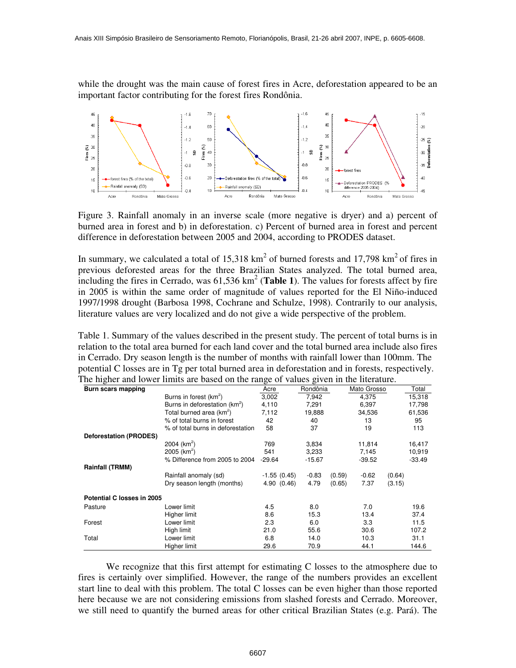while the drought was the main cause of forest fires in Acre, deforestation appeared to be an important factor contributing for the forest fires Rondônia.



Figure 3. Rainfall anomaly in an inverse scale (more negative is dryer) and a) percent of burned area in forest and b) in deforestation. c) Percent of burned area in forest and percent difference in deforestation between 2005 and 2004, according to PRODES dataset.

In summary, we calculated a total of 15,318  $km^2$  of burned forests and 17,798  $km^2$  of fires in previous deforested areas for the three Brazilian States analyzed. The total burned area, including the fires in Cerrado, was 61,536 km 2 (**Table 1**). The values for forests affect by fire in 2005 is within the same order of magnitude of values reported for the El Niño-induced 1997/1998 drought (Barbosa 1998, Cochrane and Schulze, 1998). Contrarily to our analysis, literature values are very localized and do not give a wide perspective of the problem.

Table 1. Summary of the values described in the present study. The percent of total burns is in relation to the total area burned for each land cover and the total burned area include also fires in Cerrado. Dry season length is the number of months with rainfall lower than 100mm. The potential C losses are in Tg per total burned area in deforestation and in forests, respectively. The higher and lower limits are based on the range of values given in the literature.

| O<br>Burn scars mapping       |                                           | ာ<br>Acre     | Rondônia |        | Mato Grosso |        | Total    |
|-------------------------------|-------------------------------------------|---------------|----------|--------|-------------|--------|----------|
|                               | Burns in forest (km <sup>2</sup> )        | 3,002         | 7,942    |        | 4,375       |        | 15,318   |
|                               | Burns in deforestation (km <sup>2</sup> ) | 4,110         | 7.291    |        | 6,397       |        | 17,798   |
|                               | Total burned area (km <sup>2</sup> )      | 7,112         | 19,888   |        | 34,536      |        | 61,536   |
|                               | % of total burns in forest                | 42            | 40       |        | 13          |        | 95       |
|                               | % of total burns in deforestation         | 58            | 37       |        | 19          |        | 113      |
| <b>Deforestation (PRODES)</b> |                                           |               |          |        |             |        |          |
|                               | 2004 ( $km^2$ )                           | 769           | 3,834    |        | 11,814      |        | 16,417   |
|                               | 2005 ( $km^2$ )                           | 541           | 3,233    |        | 7,145       |        | 10,919   |
|                               | % Difference from 2005 to 2004            | $-29.64$      | $-15.67$ |        | $-39.52$    |        | $-33.49$ |
| <b>Rainfall (TRMM)</b>        |                                           |               |          |        |             |        |          |
|                               | Rainfall anomaly (sd)                     | $-1.55(0.45)$ | $-0.83$  | (0.59) | $-0.62$     | (0.64) |          |
|                               | Dry season length (months)                | 4.90(0.46)    | 4.79     | (0.65) | 7.37        | (3.15) |          |
| Potential C losses in 2005    |                                           |               |          |        |             |        |          |
| Pasture                       | Lower limit                               | 4.5           | 8.0      |        | 7.0         |        | 19.6     |
|                               | Higher limit                              | 8.6           | 15.3     |        | 13.4        |        | 37.4     |
| Forest                        | Lower limit                               | 2.3           | 6.0      |        | 3.3         |        | 11.5     |
|                               | High limit                                | 21.0          | 55.6     |        | 30.6        |        | 107.2    |
| Total                         | Lower limit                               | 6.8           | 14.0     |        | 10.3        |        | 31.1     |
|                               | Higher limit                              | 29.6          | 70.9     |        | 44.1        |        | 144.6    |

We recognize that this first attempt for estimating C losses to the atmosphere due to fires is certainly over simplified. However, the range of the numbers provides an excellent start line to deal with this problem. The total C losses can be even higher than those reported here because we are not considering emissions from slashed forests and Cerrado. Moreover, we still need to quantify the burned areas for other critical Brazilian States (e.g. Pará). The